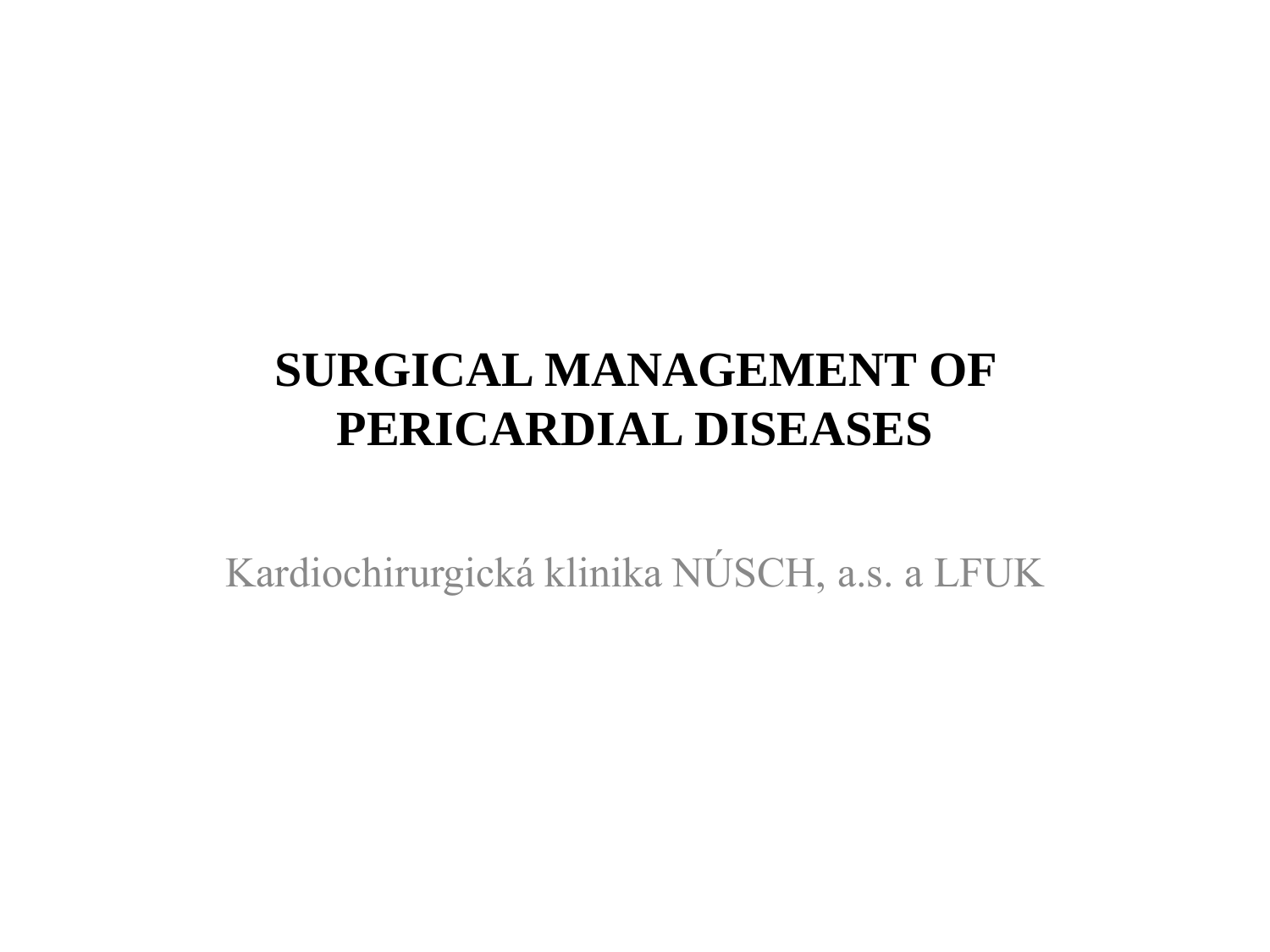# **SURGICAL MANAGEMENT OF PERICARDIAL DISEASES**

Kardiochirurgická klinika NÚSCH, a.s. a LFUK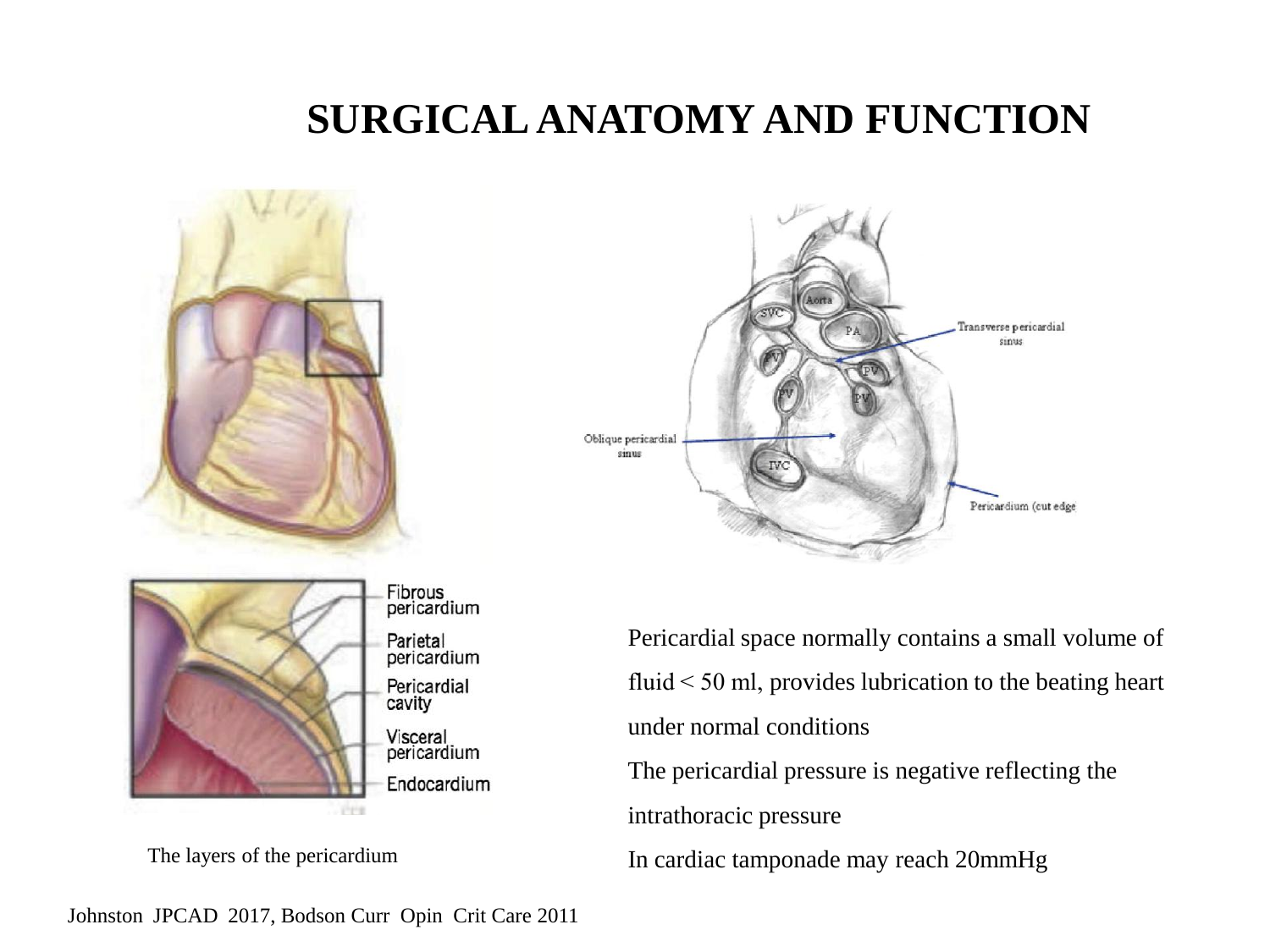## **SURGICAL ANATOMY AND FUNCTION**







The layers of the pericardium

Pericardial space normally contains a small volume of fluid  $<$  50 ml, provides lubrication to the beating heart under normal conditions The pericardial pressure is negative reflecting the intrathoracic pressure In cardiac tamponade may reach 20mmHg

Johnston JPCAD 2017, Bodson Curr Opin Crit Care 2011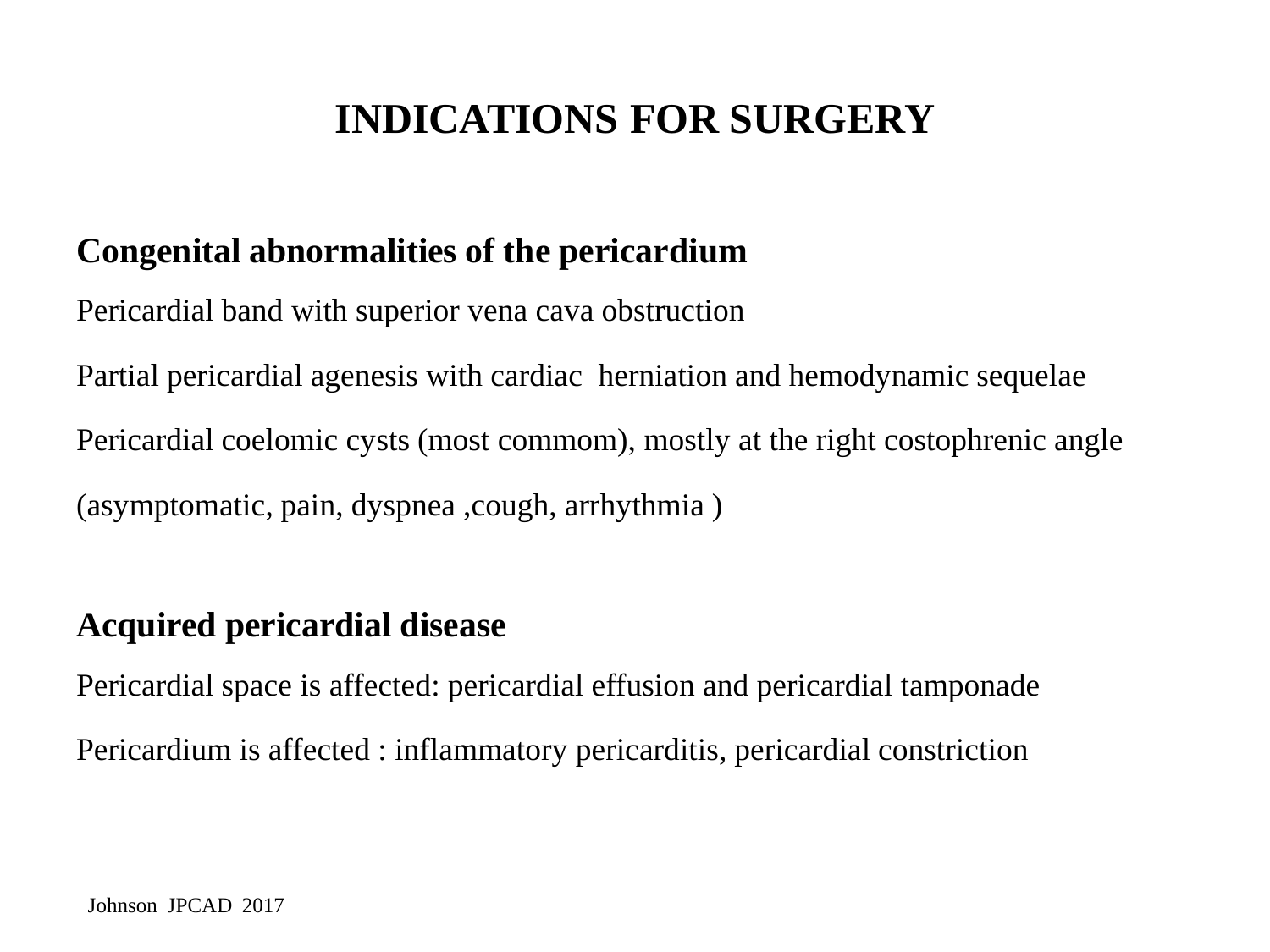### **INDICATIONS FOR SURGERY**

#### **Congenital abnormalities of the pericardium**

Pericardial band with superior vena cava obstruction

Partial pericardial agenesis with cardiac herniation and hemodynamic sequelae Pericardial coelomic cysts (most commom), mostly at the right costophrenic angle (asymptomatic, pain, dyspnea ,cough, arrhythmia )

#### **Acquired pericardial disease**

Pericardial space is affected: pericardial effusion and pericardial tamponade Pericardium is affected : inflammatory pericarditis, pericardial constriction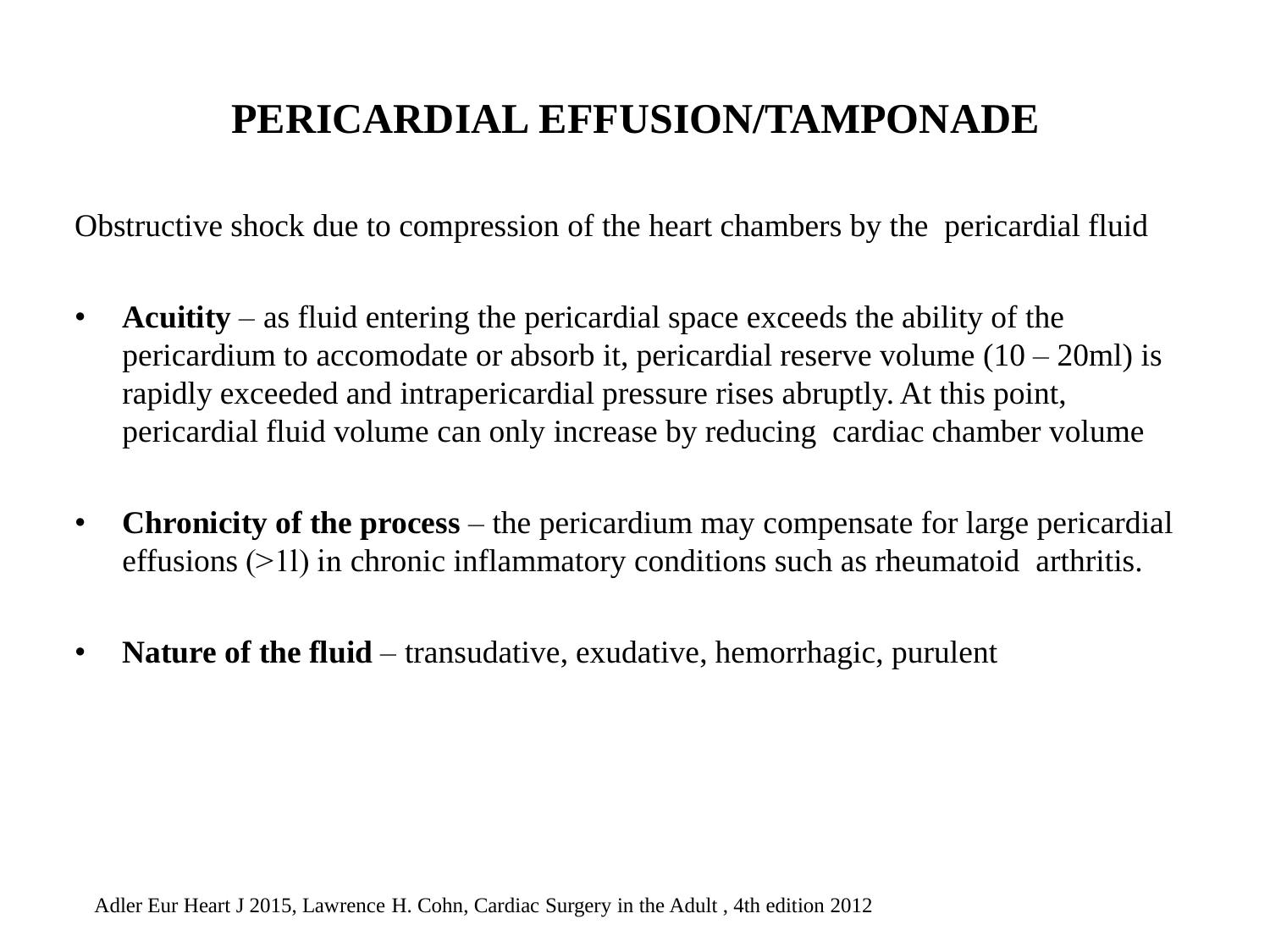### **PERICARDIAL EFFUSION/TAMPONADE**

Obstructive shock due to compression of the heart chambers by the pericardial fluid

- **Acuitity** as fluid entering the pericardial space exceeds the ability of the pericardium to accomodate or absorb it, pericardial reserve volume  $(10 - 20$ ml) is rapidly exceeded and intrapericardial pressure rises abruptly. At this point, pericardial fluid volume can only increase by reducing cardiac chamber volume
- **Chronicity of the process** the pericardium may compensate for large pericardial effusions ( $>1$ l) in chronic inflammatory conditions such as rheumatoid arthritis.
- **Nature of the fluid** transudative, exudative, hemorrhagic, purulent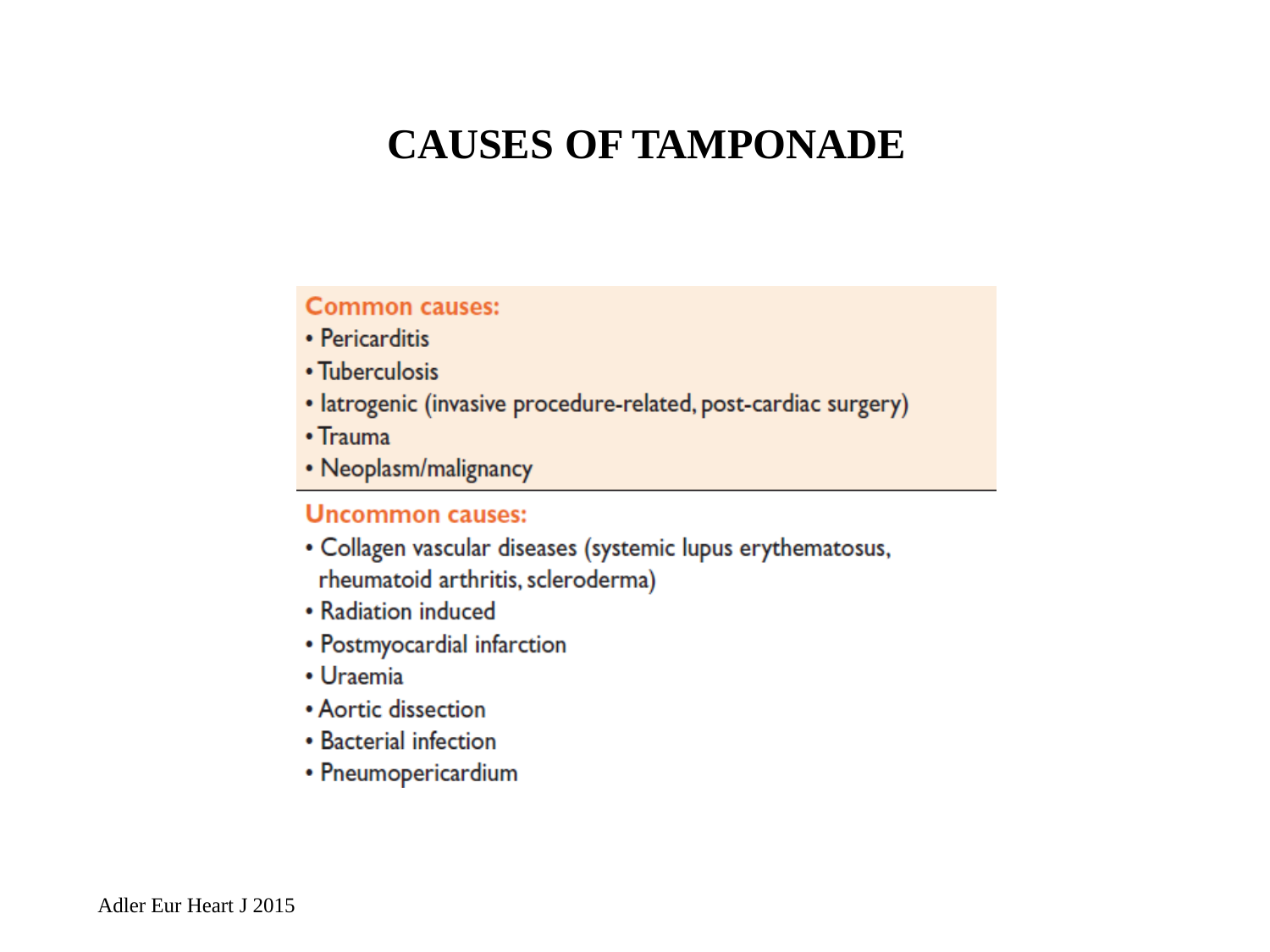#### **CAUSES OF TAMPONADE**

#### **Common causes:**

- Pericarditis
- Tuberculosis
- latrogenic (invasive procedure-related, post-cardiac surgery)
- $\cdot$  Trauma
- Neoplasm/malignancy

#### **Uncommon causes:**

- · Collagen vascular diseases (systemic lupus erythematosus, rheumatoid arthritis, scleroderma)
- Radiation induced
- Postmyocardial infarction
- Uraemia
- Aortic dissection
- Bacterial infection
- Pneumopericardium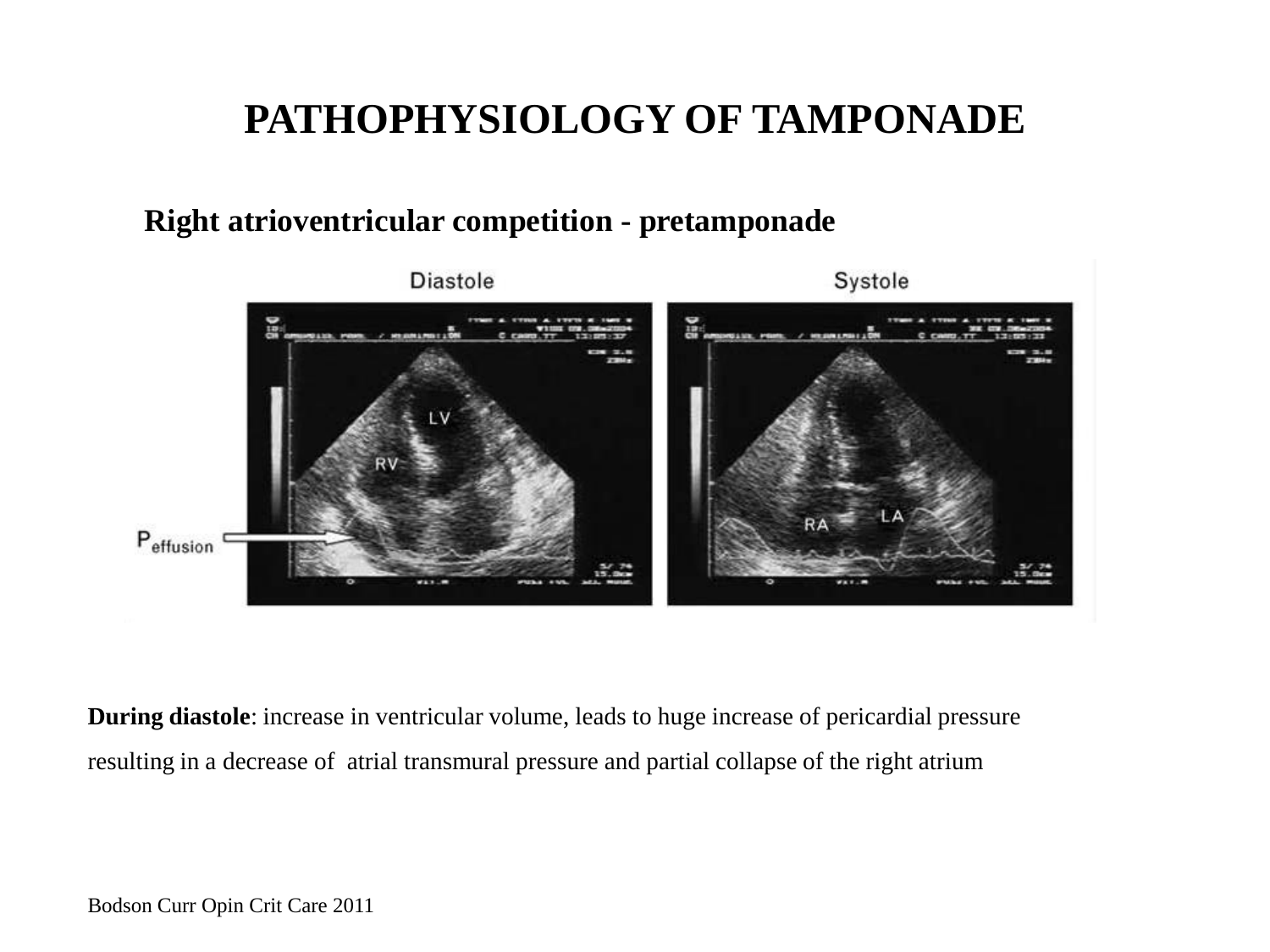#### **Right atrioventricular competition - pretamponade**



**During diastole**: increase in ventricular volume, leads to huge increase of pericardial pressure resulting in a decrease of atrial transmural pressure and partial collapse of the right atrium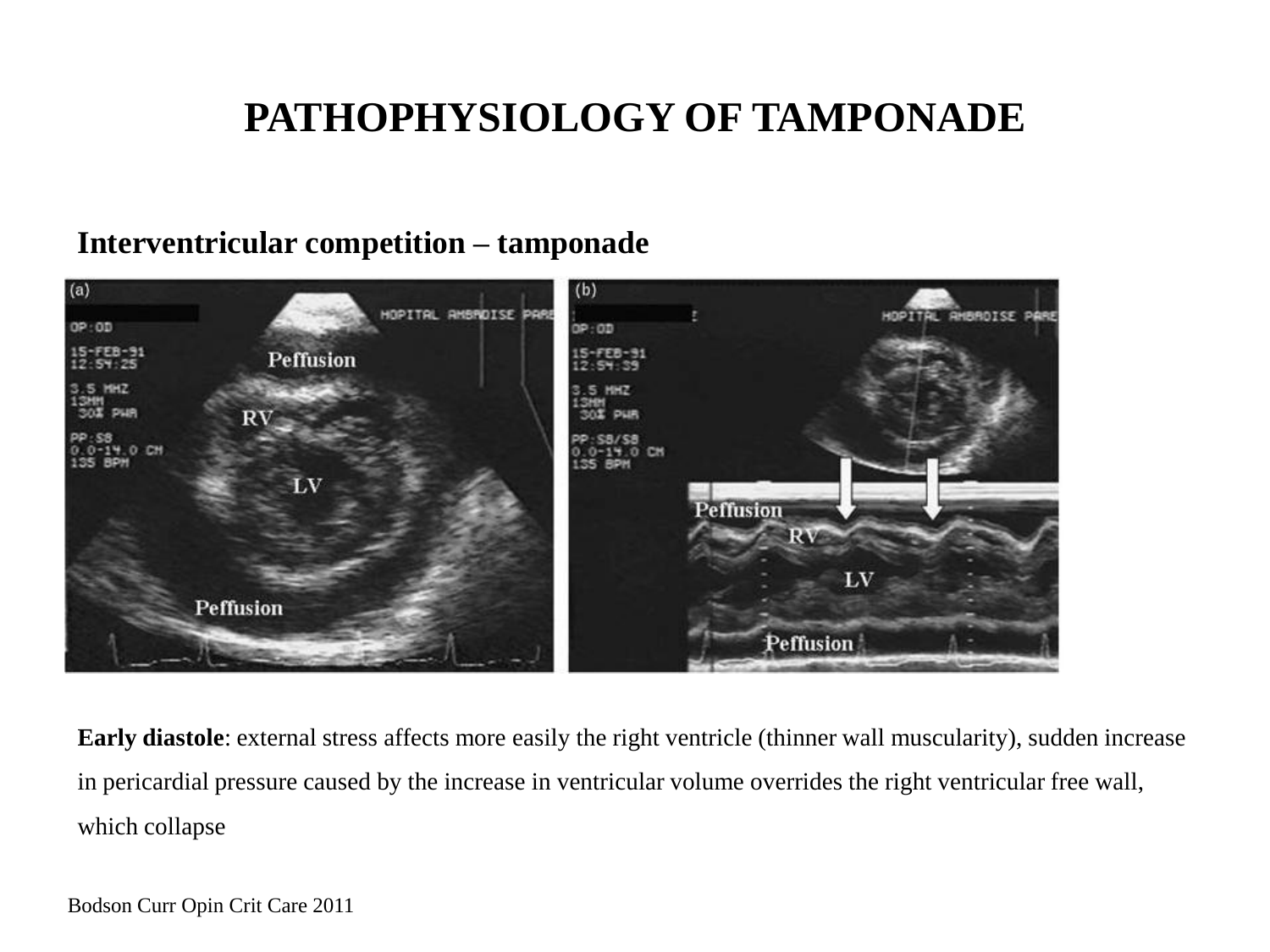#### **Interventricular competition – tamponade**



**Early diastole**: external stress affects more easily the right ventricle (thinner wall muscularity), sudden increase in pericardial pressure caused by the increase in ventricular volume overrides the right ventricular free wall, which collapse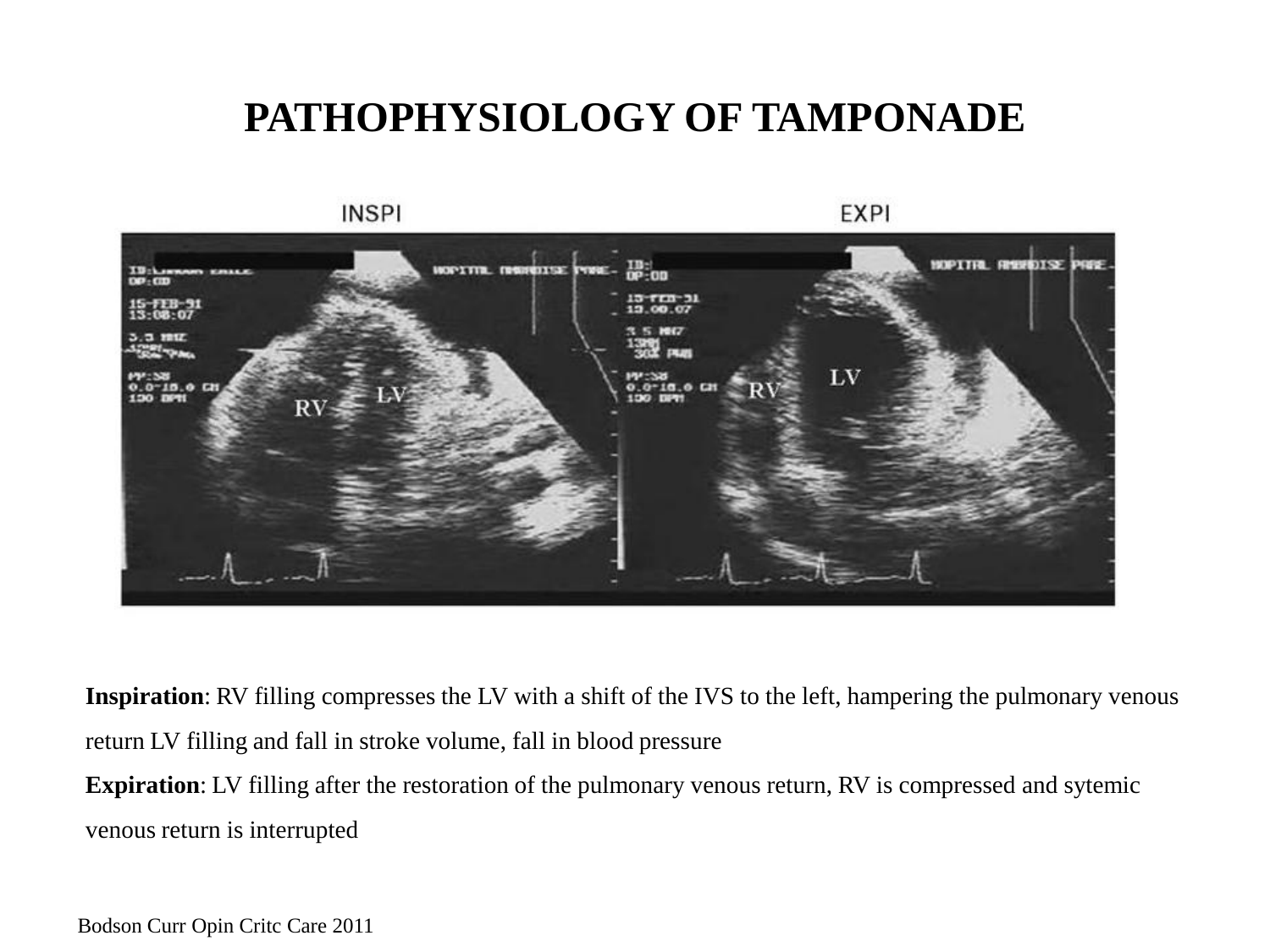

**Inspiration**: RV filling compresses the LV with a shift of the IVS to the left, hampering the pulmonary venous return LV filling and fall in stroke volume, fall in blood pressure **Expiration**: LV filling after the restoration of the pulmonary venous return, RV is compressed and sytemic

venous return is interrupted

Bodson Curr Opin Critc Care 2011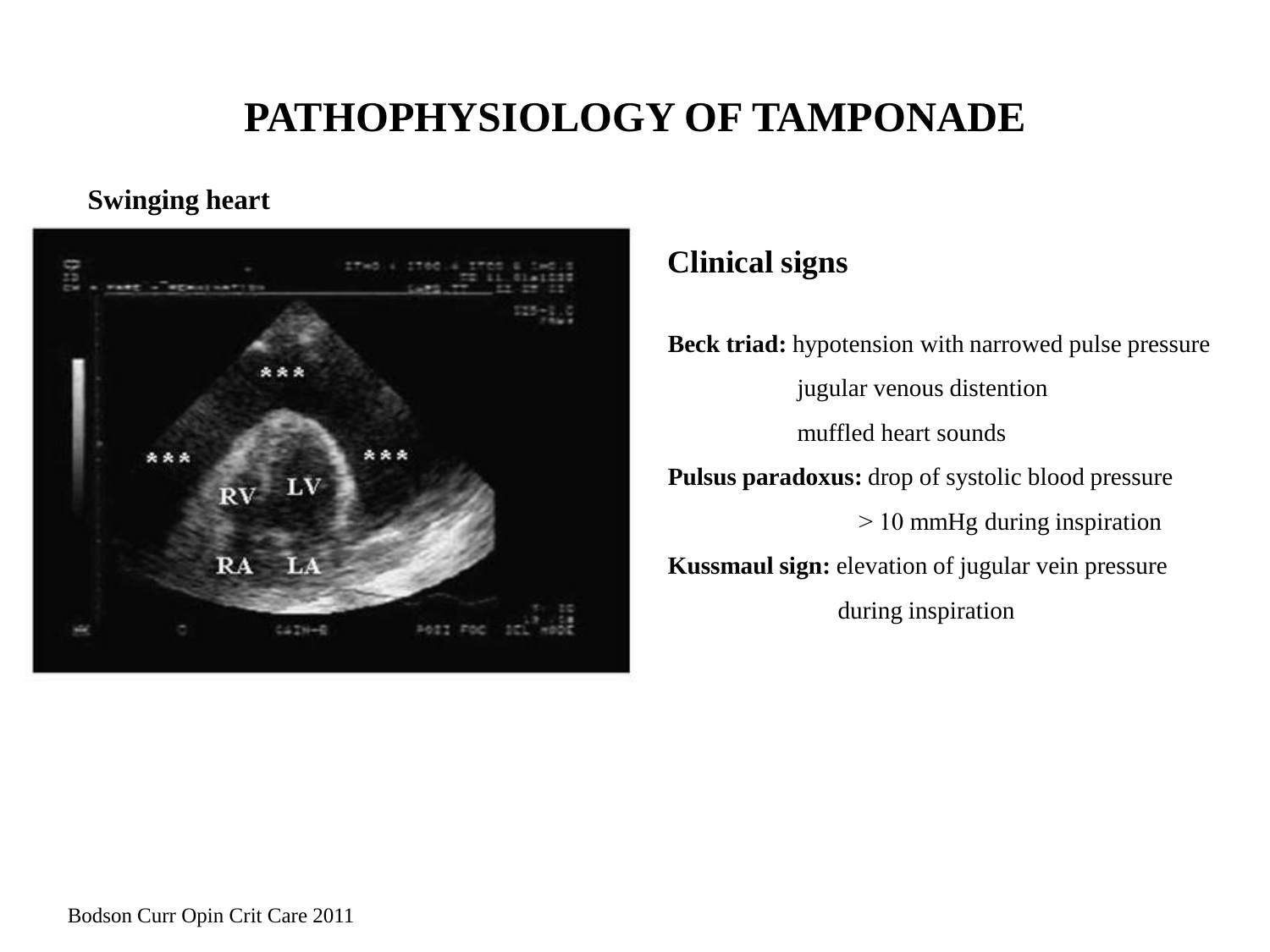#### **Swinging heart**



#### **Clinical signs**

**Beck triad:** hypotension with narrowed pulse pressure jugular venous distention muffled heart sounds **Pulsus paradoxus:** drop of systolic blood pressure ˃ 10 mmHg during inspiration **Kussmaul sign:** elevation of jugular vein pressure during inspiration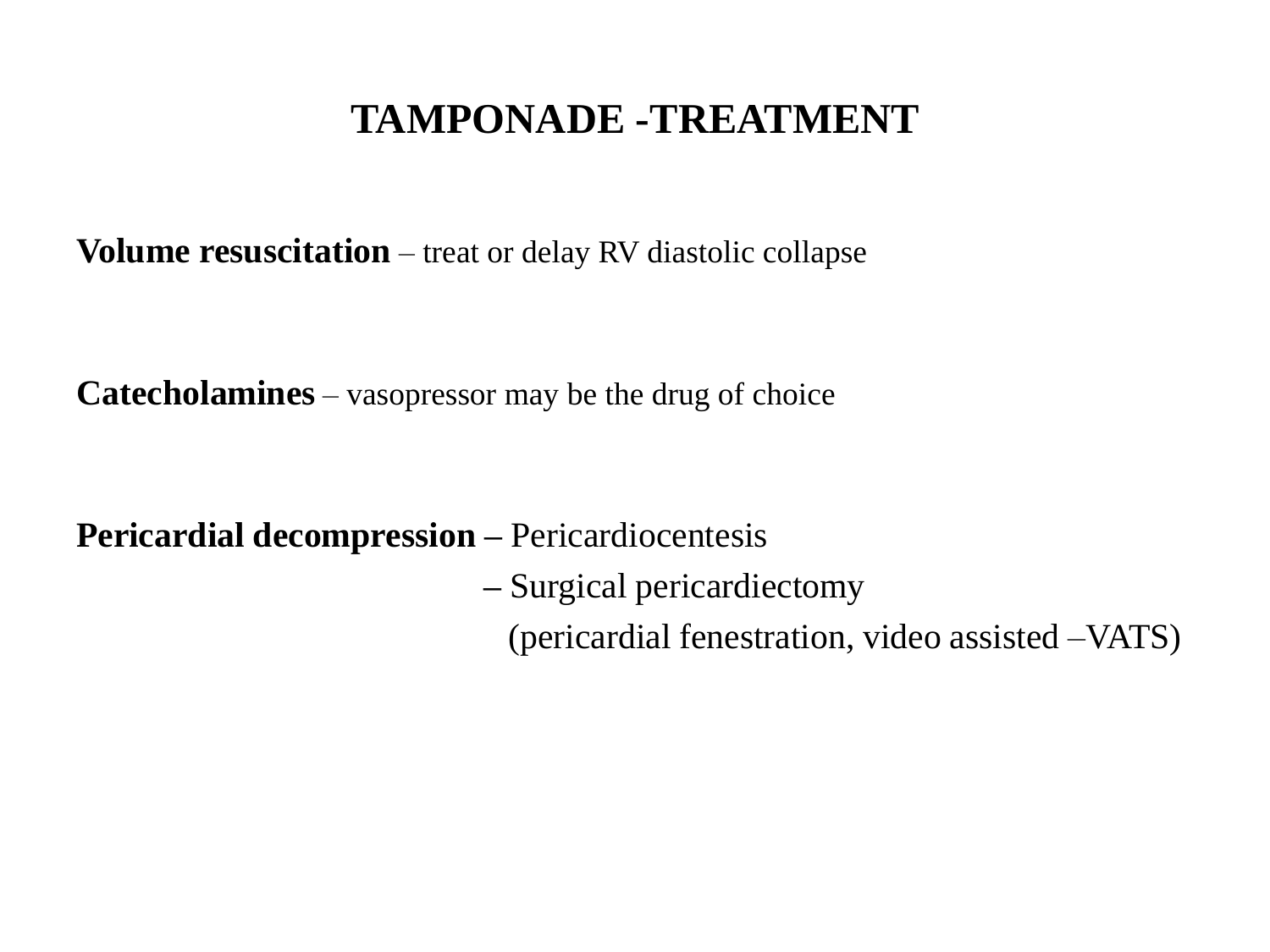#### **TAMPONADE -TREATMENT**

**Volume resuscitation** – treat or delay RV diastolic collapse

**Catecholamines** – vasopressor may be the drug of choice

**Pericardial decompression –** Pericardiocentesis

**–** Surgical pericardiectomy

(pericardial fenestration, video assisted –VATS)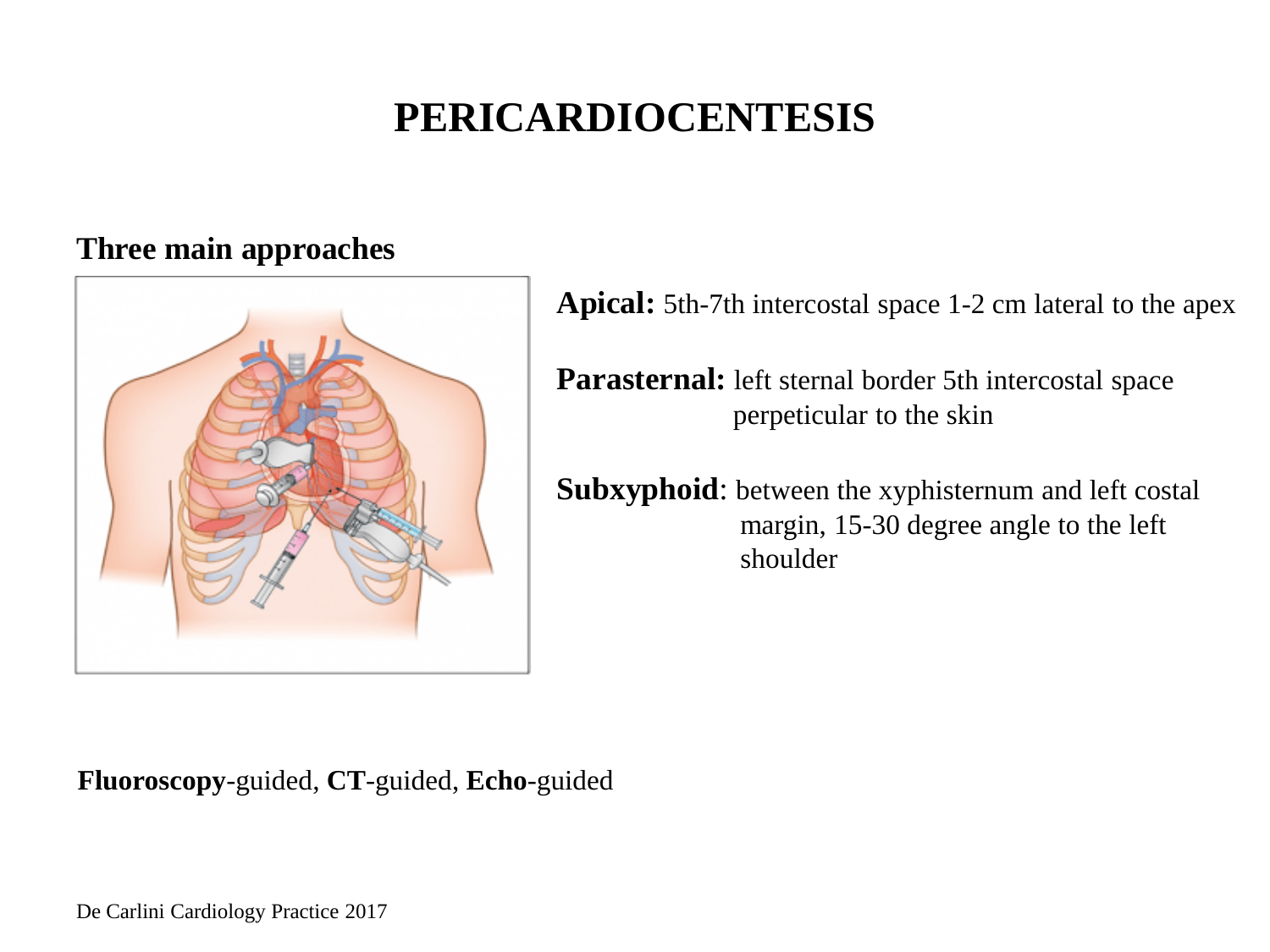### **PERICARDIOCENTESIS**

#### **Three main approaches**



**Fluoroscopy**-guided, **CT**-guided, **Echo**-guided

**Apical:** 5th-7th intercostal space 1-2 cm lateral to the apex

**Parasternal:** left sternal border 5th intercostal space perpeticular to the skin

**Subxyphoid**: between the xyphisternum and left costal margin, 15-30 degree angle to the left shoulder

De Carlini Cardiology Practice 2017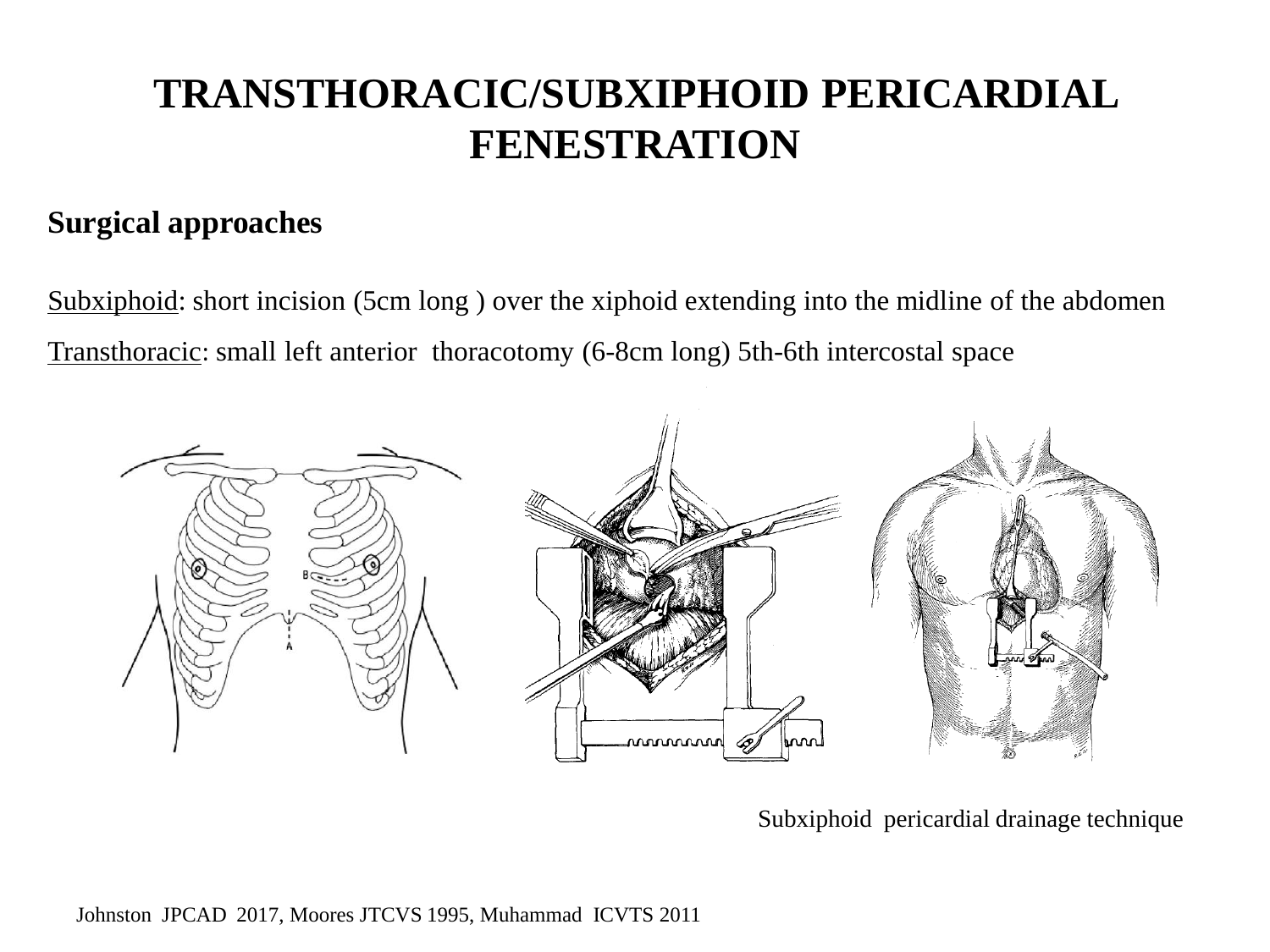### **TRANSTHORACIC/SUBXIPHOID PERICARDIAL FENESTRATION**

#### **Surgical approaches**

Subxiphoid: short incision (5cm long ) over the xiphoid extending into the midline of the abdomen Transthoracic: small left anterior thoracotomy (6-8cm long) 5th-6th intercostal space



Subxiphoid pericardial drainage technique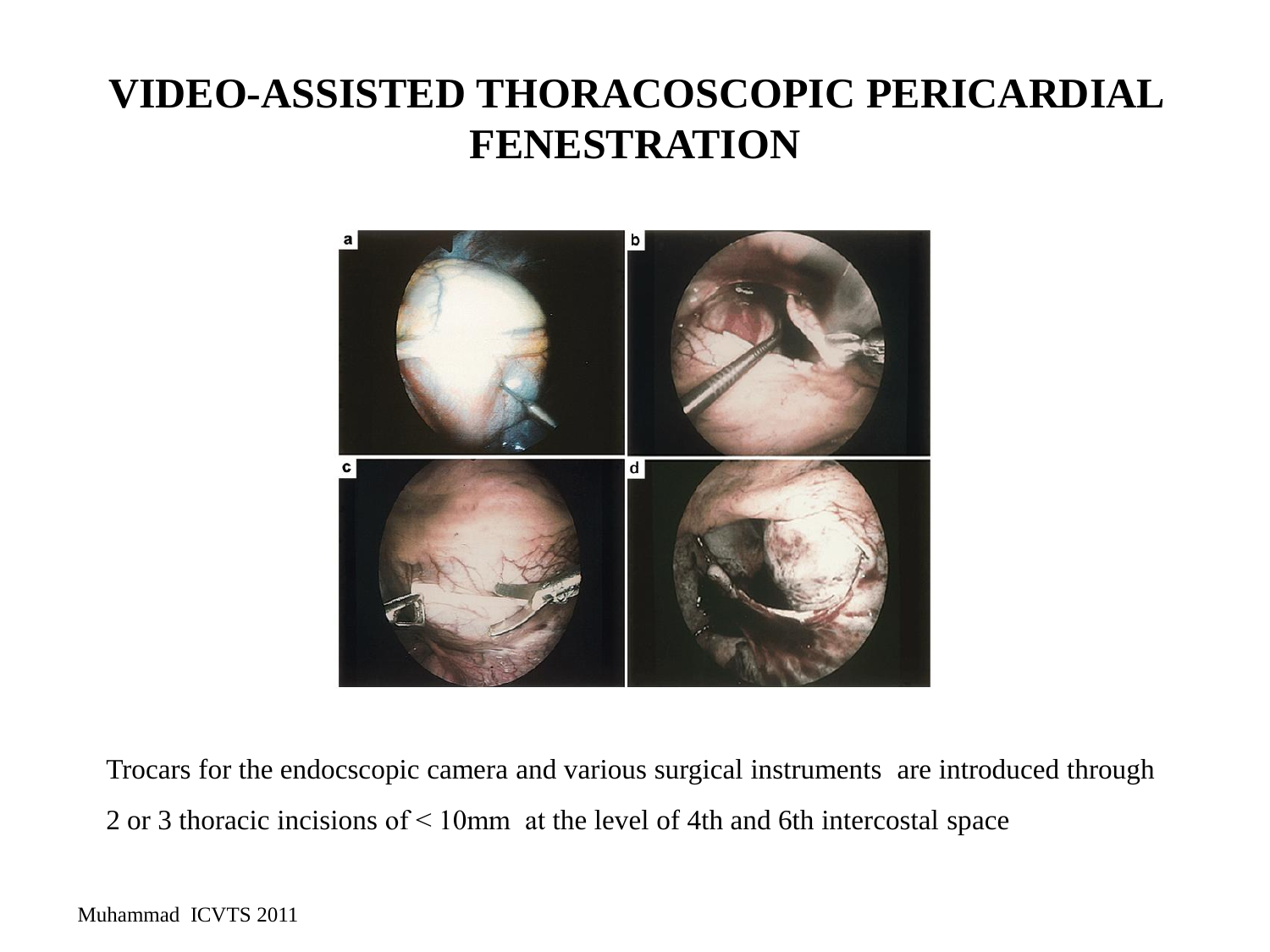### **VIDEO-ASSISTED THORACOSCOPIC PERICARDIAL FENESTRATION**



Trocars for the endocscopic camera and various surgical instruments are introduced through 2 or 3 thoracic incisions of ˂ 10mm at the level of 4th and 6th intercostal space

Muhammad ICVTS 2011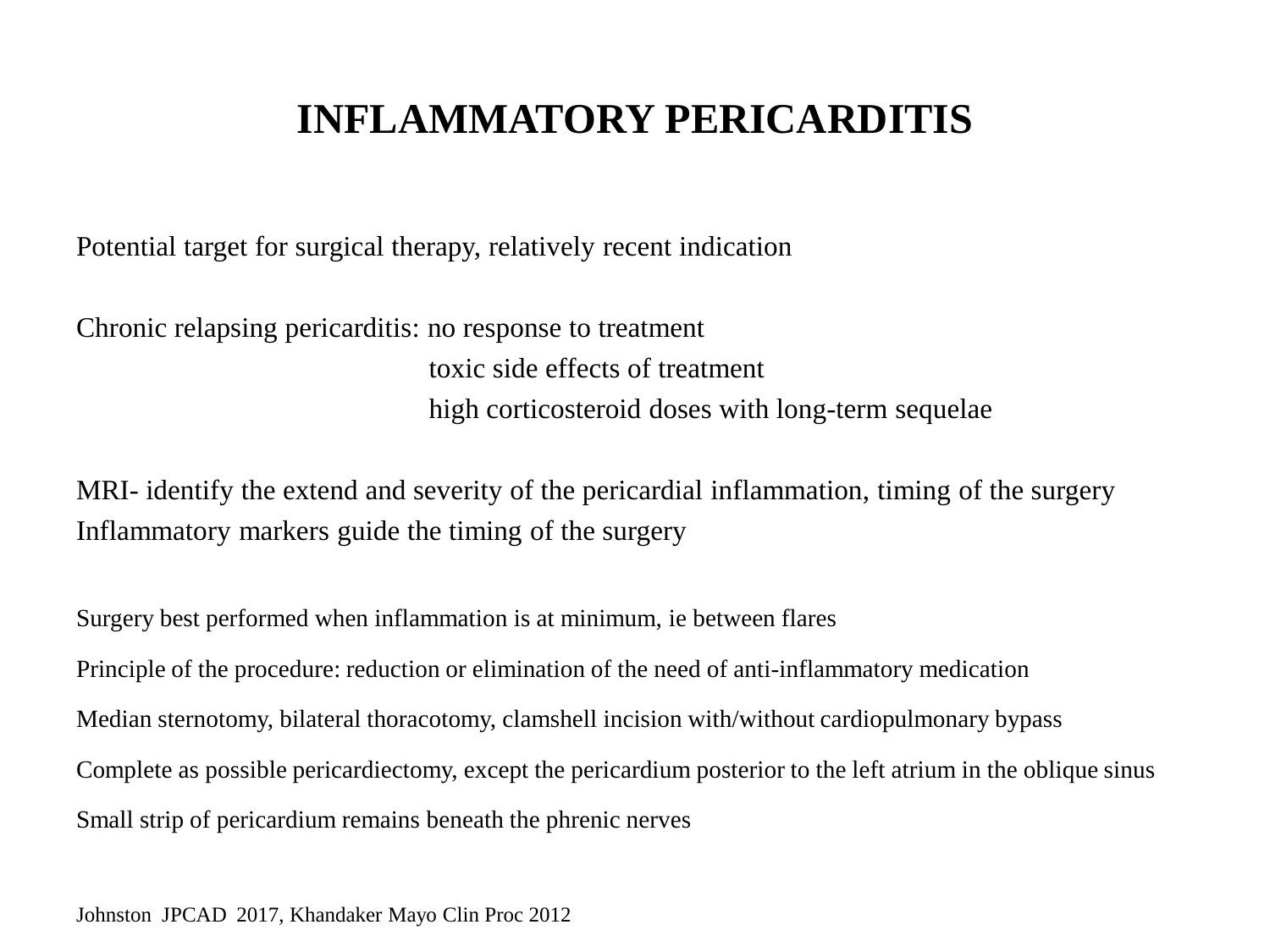### **INFLAMMATORY PERICARDITIS**

Potential target for surgical therapy, relatively recent indication

Chronic relapsing pericarditis: no response to treatment toxic side effects of treatment high corticosteroid doses with long-term sequelae

MRI- identify the extend and severity of the pericardial inflammation, timing of the surgery Inflammatory markers guide the timing of the surgery

Surgery best performed when inflammation is at minimum, ie between flares Principle of the procedure: reduction or elimination of the need of anti-inflammatory medication Median sternotomy, bilateral thoracotomy, clamshell incision with/without cardiopulmonary bypass Complete as possible pericardiectomy, except the pericardium posterior to the left atrium in the oblique sinus Small strip of pericardium remains beneath the phrenic nerves

Johnston JPCAD 2017, Khandaker Mayo Clin Proc 2012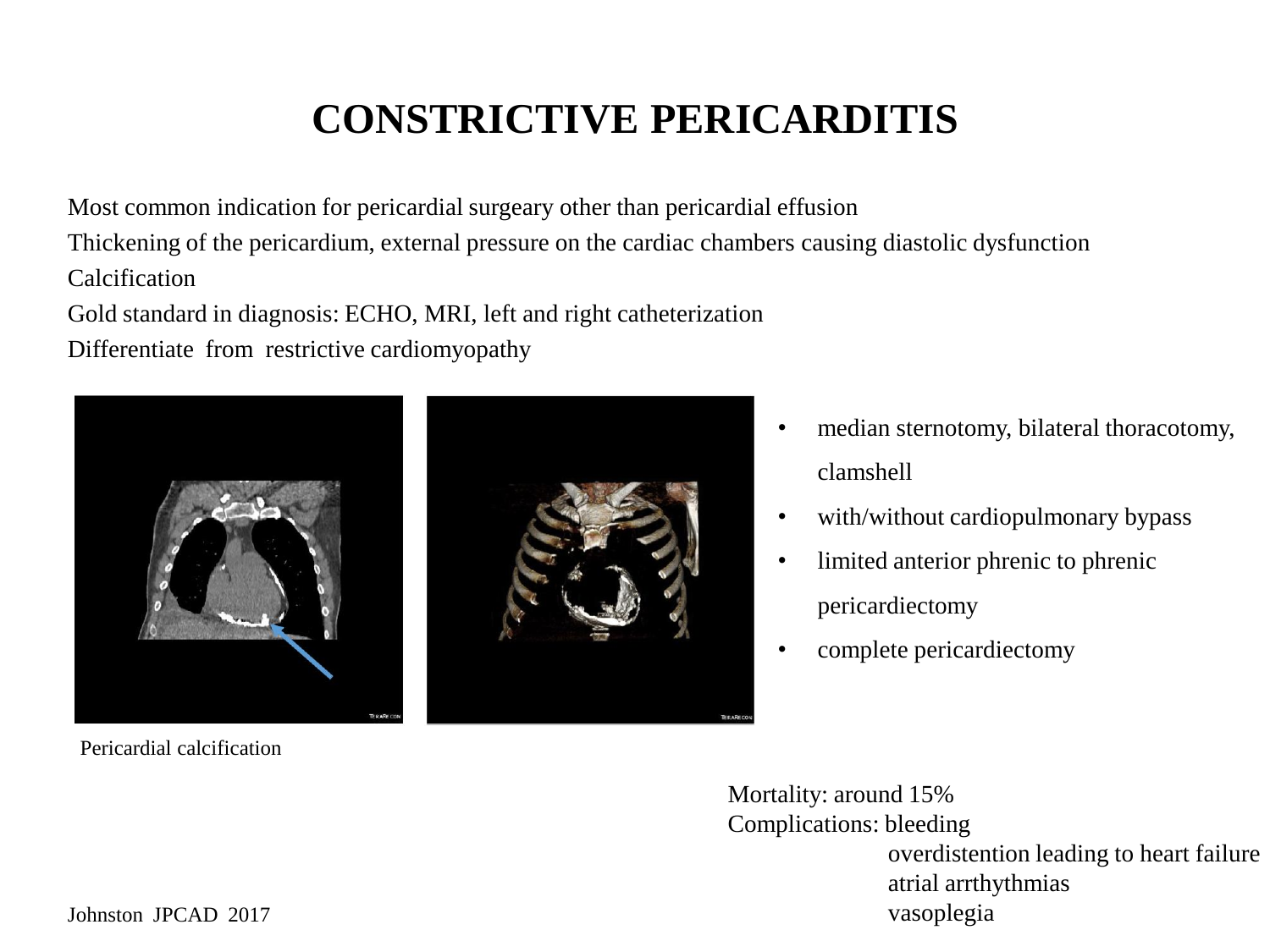## **CONSTRICTIVE PERICARDITIS**

Most common indication for pericardial surgeary other than pericardial effusion Thickening of the pericardium, external pressure on the cardiac chambers causing diastolic dysfunction Calcification

Gold standard in diagnosis: ECHO, MRI, left and right catheterization

Differentiate from restrictive cardiomyopathy



Pericardial calcification

- median sternotomy, bilateral thoracotomy, clamshell
- with/without cardiopulmonary bypass
- limited anterior phrenic to phrenic pericardiectomy
- complete pericardiectomy

Mortality: around 15% Complications: bleeding overdistention leading to heart failure atrial arrthythmias vasoplegia